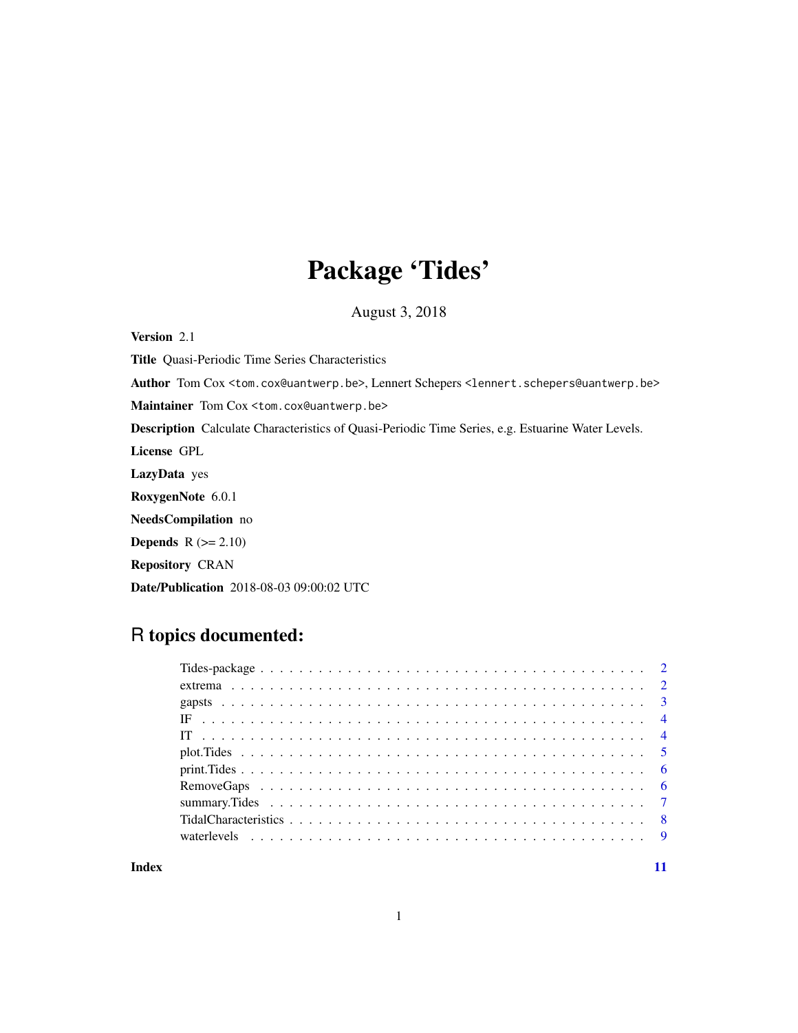# Package 'Tides'

August 3, 2018

Version 2.1 Title Quasi-Periodic Time Series Characteristics Author Tom Cox <tom.cox@uantwerp.be>, Lennert Schepers <lennert.schepers@uantwerp.be> Maintainer Tom Cox <tom.cox@uantwerp.be> Description Calculate Characteristics of Quasi-Periodic Time Series, e.g. Estuarine Water Levels. License GPL LazyData yes RoxygenNote 6.0.1 NeedsCompilation no **Depends**  $R (= 2.10)$ Repository CRAN Date/Publication 2018-08-03 09:00:02 UTC

# R topics documented:

#### **Index** [11](#page-10-0)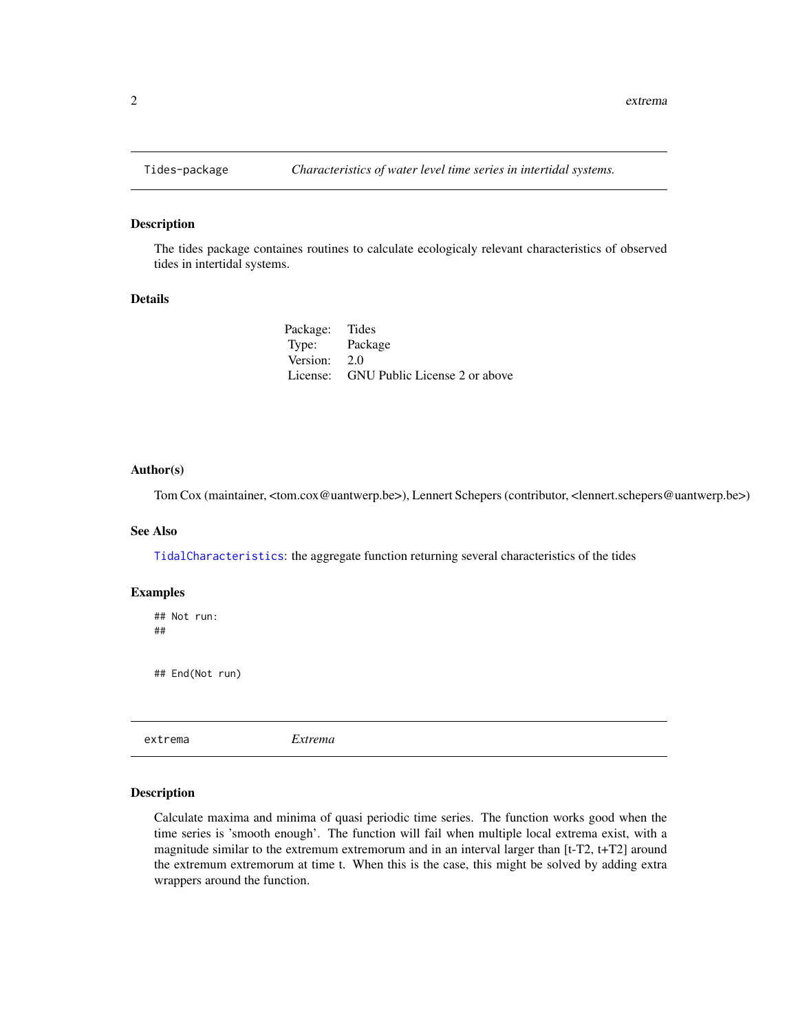#### Description

The tides package containes routines to calculate ecologicaly relevant characteristics of observed tides in intertidal systems.

#### Details

| Package: Tides |                                        |
|----------------|----------------------------------------|
| Type: Package  |                                        |
| Version: 2.0   |                                        |
|                | License: GNU Public License 2 or above |

#### Author(s)

Tom Cox (maintainer, <tom.cox@uantwerp.be>), Lennert Schepers (contributor, <lennert.schepers@uantwerp.be>)

#### See Also

[TidalCharacteristics](#page-7-1): the aggregate function returning several characteristics of the tides

#### Examples

## Not run: ##

## End(Not run)

<span id="page-1-1"></span>extrema *Extrema*

#### Description

Calculate maxima and minima of quasi periodic time series. The function works good when the time series is 'smooth enough'. The function will fail when multiple local extrema exist, with a magnitude similar to the extremum extremorum and in an interval larger than [t-T2, t+T2] around the extremum extremorum at time t. When this is the case, this might be solved by adding extra wrappers around the function.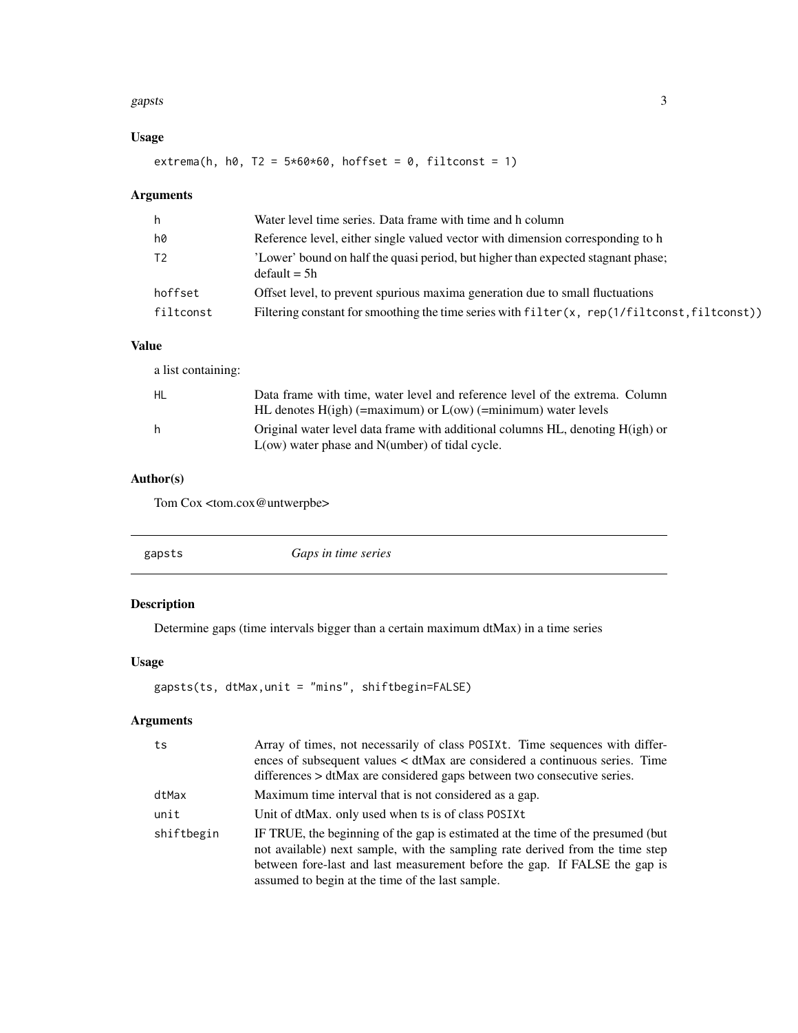#### <span id="page-2-0"></span>gapsts 3

# Usage

extrema(h, h0, T2 =  $5*60*60$ , hoffset = 0, filtconst = 1)

# Arguments

| h         | Water level time series. Data frame with time and h column                                         |
|-----------|----------------------------------------------------------------------------------------------------|
| h0        | Reference level, either single valued vector with dimension corresponding to h                     |
| T2        | 'Lower' bound on half the quasi period, but higher than expected stagnant phase;<br>$default = 5h$ |
| hoffset   | Offset level, to prevent spurious maxima generation due to small fluctuations                      |
| filtconst | Filtering constant for smoothing the time series with filter(x, rep(1/filtconst, filtconst))       |

# Value

| a list containing: |                                                                                                                                                   |
|--------------------|---------------------------------------------------------------------------------------------------------------------------------------------------|
| HL                 | Data frame with time, water level and reference level of the extrema. Column<br>HL denotes $H(igh)$ (=maximum) or $L(ow)$ (=minimum) water levels |
| h                  | Original water level data frame with additional columns HL, denoting H(igh) or<br>$L(ow)$ water phase and $N(umber)$ of tidal cycle.              |

# Author(s)

Tom Cox <tom.cox@untwerpbe>

<span id="page-2-1"></span>

| gapsts | Gaps in time series |
|--------|---------------------|
|        |                     |

# Description

Determine gaps (time intervals bigger than a certain maximum dtMax) in a time series

# Usage

gapsts(ts, dtMax,unit = "mins", shiftbegin=FALSE)

# Arguments

| ts         | Array of times, not necessarily of class POSIXt. Time sequences with differ-<br>ences of subsequent values $\lt d$ tMax are considered a continuous series. Time<br>differences > dtMax are considered gaps between two consecutive series.                                                        |
|------------|----------------------------------------------------------------------------------------------------------------------------------------------------------------------------------------------------------------------------------------------------------------------------------------------------|
| dtMax      | Maximum time interval that is not considered as a gap.                                                                                                                                                                                                                                             |
| unit       | Unit of dtMax, only used when ts is of class POSIXt                                                                                                                                                                                                                                                |
| shiftbegin | IF TRUE, the beginning of the gap is estimated at the time of the presumed (but<br>not available) next sample, with the sampling rate derived from the time step<br>between fore-last and last measurement before the gap. If FALSE the gap is<br>assumed to begin at the time of the last sample. |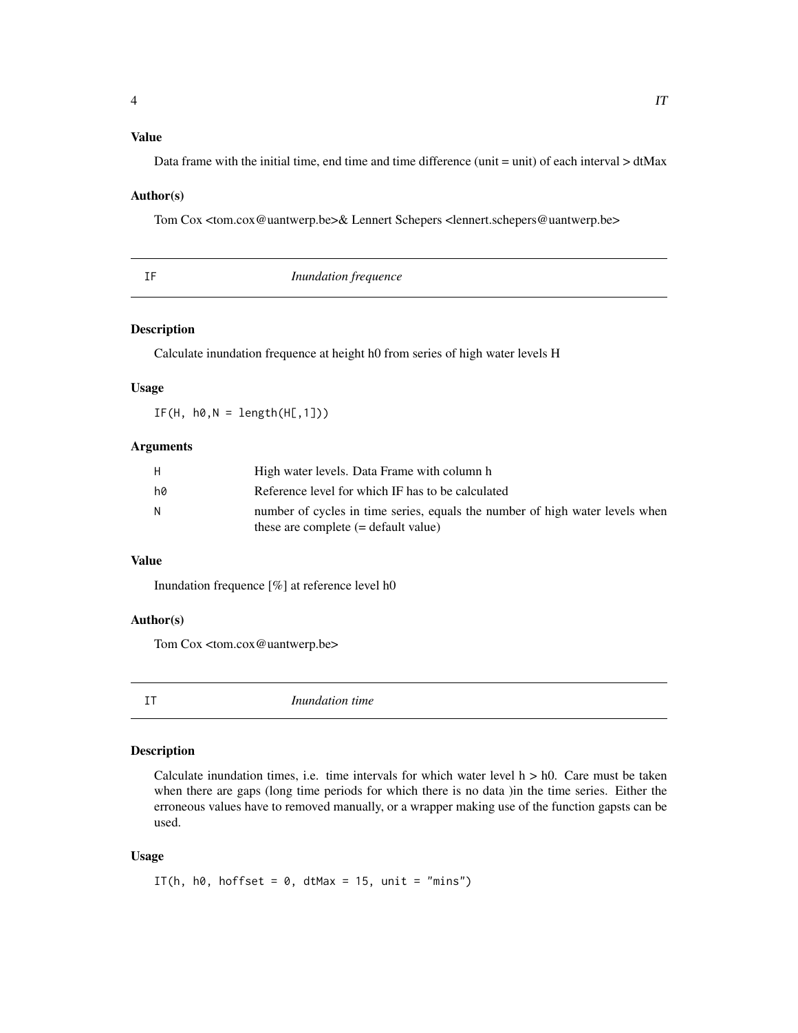# <span id="page-3-0"></span>Value

Data frame with the initial time, end time and time difference (unit = unit) of each interval > dtMax

#### Author(s)

Tom Cox <tom.cox@uantwerp.be>& Lennert Schepers <lennert.schepers@uantwerp.be>

<span id="page-3-2"></span>

| Inundation frequence |
|----------------------|
|----------------------|

# Description

Calculate inundation frequence at height h0 from series of high water levels H

#### Usage

 $IF(H, h0,N = length(H[, 1]))$ 

#### **Arguments**

| H  | High water levels. Data Frame with column h                                  |
|----|------------------------------------------------------------------------------|
| hØ | Reference level for which IF has to be calculated                            |
| N  | number of cycles in time series, equals the number of high water levels when |
|    | these are complete $(=$ default value)                                       |

# Value

Inundation frequence [%] at reference level h0

#### Author(s)

Tom Cox <tom.cox@uantwerp.be>

<span id="page-3-1"></span>

IT *Inundation time*

# Description

Calculate inundation times, i.e. time intervals for which water level  $h > h0$ . Care must be taken when there are gaps (long time periods for which there is no data )in the time series. Either the erroneous values have to removed manually, or a wrapper making use of the function gapsts can be used.

#### Usage

```
IT(h, h0, hoffset = 0, dtMax = 15, unit = "mins")
```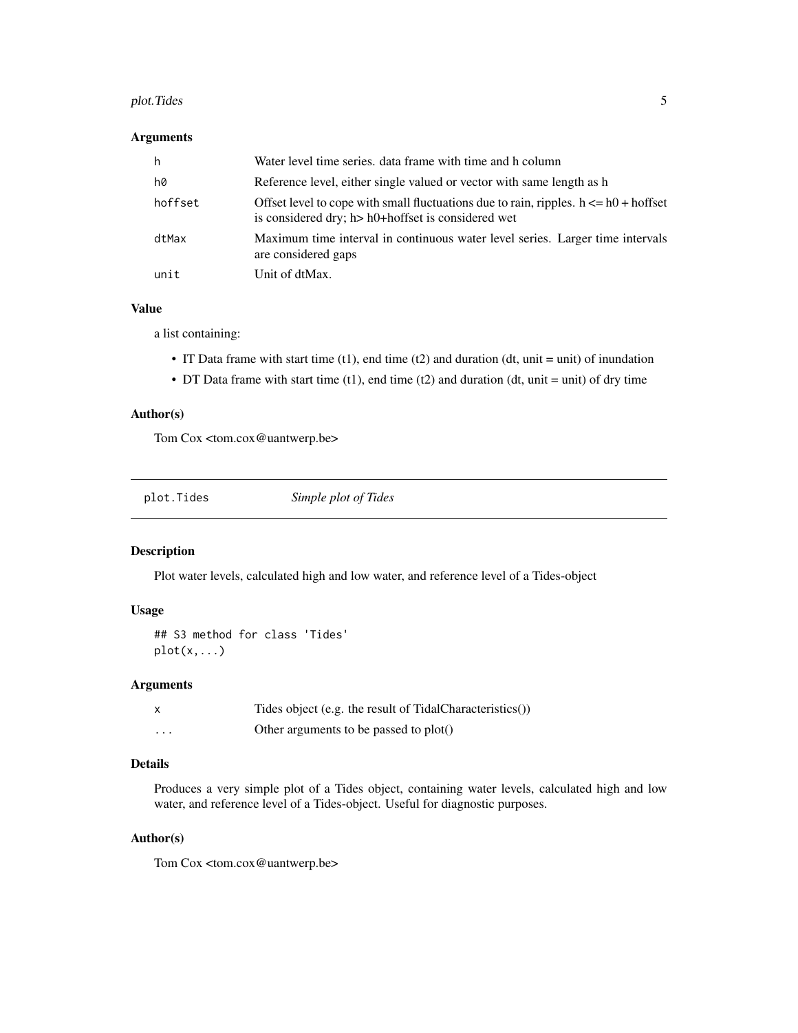#### <span id="page-4-0"></span>plot. Tides 5

# Arguments

| h       | Water level time series, data frame with time and h column                                                                                    |
|---------|-----------------------------------------------------------------------------------------------------------------------------------------------|
| h0      | Reference level, either single valued or vector with same length as h                                                                         |
| hoffset | Offset level to cope with small fluctuations due to rain, ripples. $h \leq h$ + hoffset<br>is considered dry; h> h0+hoffset is considered wet |
| dtMax   | Maximum time interval in continuous water level series. Larger time intervals<br>are considered gaps                                          |
| unit    | Unit of dtMax.                                                                                                                                |

# Value

a list containing:

- IT Data frame with start time  $(t1)$ , end time  $(t2)$  and duration  $(dt, unit = unit)$  of inundation
- DT Data frame with start time  $(t1)$ , end time  $(t2)$  and duration  $(dt, unit = unit)$  of dry time

# Author(s)

Tom Cox <tom.cox@uantwerp.be>

<span id="page-4-1"></span>

| plot.Tides | Simple plot of Tides |  |
|------------|----------------------|--|
|------------|----------------------|--|

# Description

Plot water levels, calculated high and low water, and reference level of a Tides-object

# Usage

```
## S3 method for class 'Tides'
plot(x,...)
```
#### Arguments

|          | Tides object (e.g. the result of TidalCharacteristics()) |
|----------|----------------------------------------------------------|
| $\cdots$ | Other arguments to be passed to plot()                   |

# Details

Produces a very simple plot of a Tides object, containing water levels, calculated high and low water, and reference level of a Tides-object. Useful for diagnostic purposes.

# Author(s)

Tom Cox <tom.cox@uantwerp.be>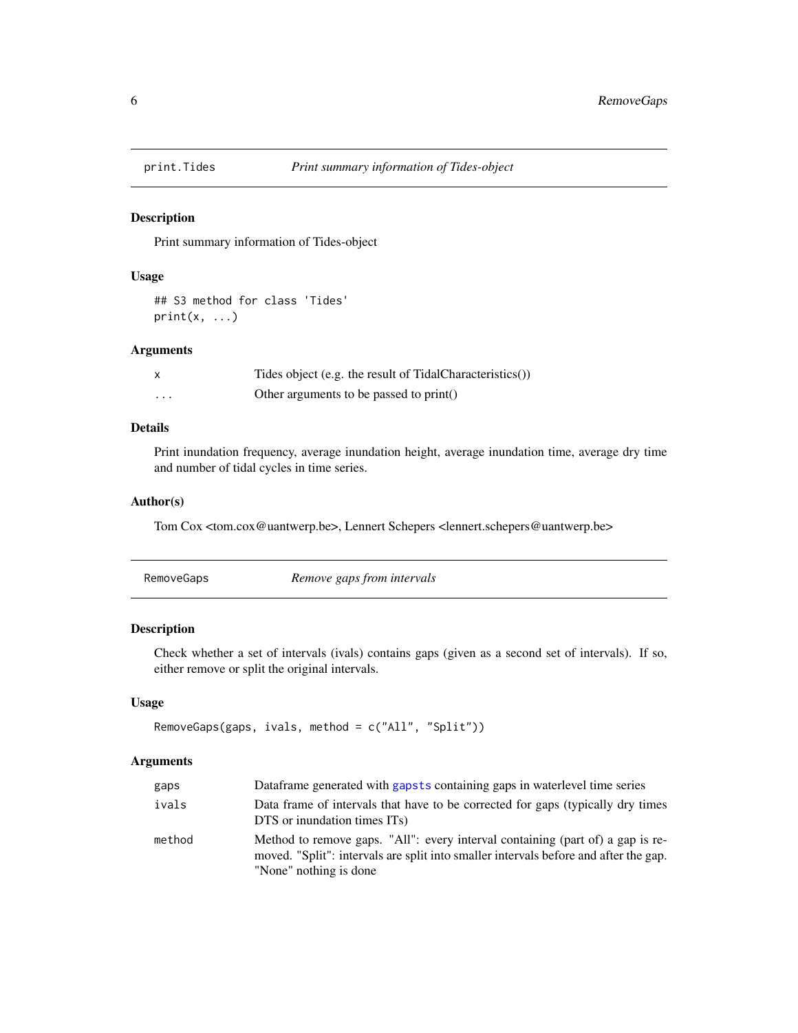<span id="page-5-0"></span>

# Description

Print summary information of Tides-object

#### Usage

## S3 method for class 'Tides'  $print(x, \ldots)$ 

#### Arguments

|   | Tides object (e.g. the result of TidalCharacteristics()) |
|---|----------------------------------------------------------|
| . | Other arguments to be passed to print()                  |

# Details

Print inundation frequency, average inundation height, average inundation time, average dry time and number of tidal cycles in time series.

# Author(s)

Tom Cox <tom.cox@uantwerp.be>, Lennert Schepers <lennert.schepers@uantwerp.be>

<span id="page-5-1"></span>

| RemoveGaps | Remove gaps from intervals |  |
|------------|----------------------------|--|
|------------|----------------------------|--|

# Description

Check whether a set of intervals (ivals) contains gaps (given as a second set of intervals). If so, either remove or split the original intervals.

# Usage

```
RemoveGaps(gaps, ivals, method = c("All", "Split"))
```
# Arguments

| gaps   | Dataframe generated with gaps ts containing gaps in waterlevel time series                                                                                                                       |
|--------|--------------------------------------------------------------------------------------------------------------------------------------------------------------------------------------------------|
| ivals  | Data frame of intervals that have to be corrected for gaps (typically dry times<br>DTS or inundation times ITs)                                                                                  |
| method | Method to remove gaps. "All": every interval containing (part of) a gap is re-<br>moved. "Split": intervals are split into smaller intervals before and after the gap.<br>"None" nothing is done |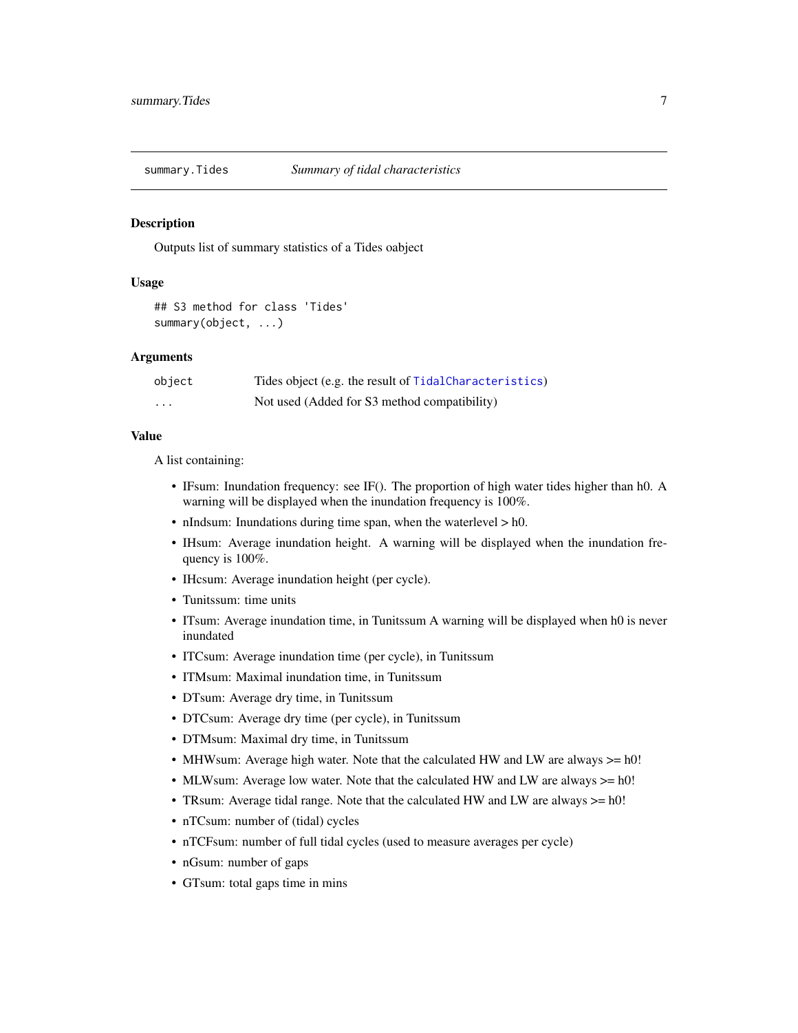<span id="page-6-0"></span>

#### Description

Outputs list of summary statistics of a Tides oabject

#### Usage

```
## S3 method for class 'Tides'
summary(object, ...)
```
#### Arguments

| object | Tides object (e.g. the result of TidalCharacteristics) |
|--------|--------------------------------------------------------|
| .      | Not used (Added for S3 method compatibility)           |

#### Value

A list containing:

- IFsum: Inundation frequency: see IF(). The proportion of high water tides higher than h0. A warning will be displayed when the inundation frequency is 100%.
- nIndsum: Inundations during time span, when the waterlevel > h0.
- IHsum: Average inundation height. A warning will be displayed when the inundation frequency is 100%.
- IHcsum: Average inundation height (per cycle).
- Tunitssum: time units
- ITsum: Average inundation time, in Tunitssum A warning will be displayed when h0 is never inundated
- ITCsum: Average inundation time (per cycle), in Tunitssum
- ITMsum: Maximal inundation time, in Tunitssum
- DTsum: Average dry time, in Tunitssum
- DTCsum: Average dry time (per cycle), in Tunitssum
- DTMsum: Maximal dry time, in Tunitssum
- MHWsum: Average high water. Note that the calculated HW and LW are always >= h0!
- MLWsum: Average low water. Note that the calculated HW and LW are always  $>= h0!$
- TRsum: Average tidal range. Note that the calculated HW and LW are always  $>= h0!$
- nTCsum: number of (tidal) cycles
- nTCFsum: number of full tidal cycles (used to measure averages per cycle)
- nGsum: number of gaps
- GTsum: total gaps time in mins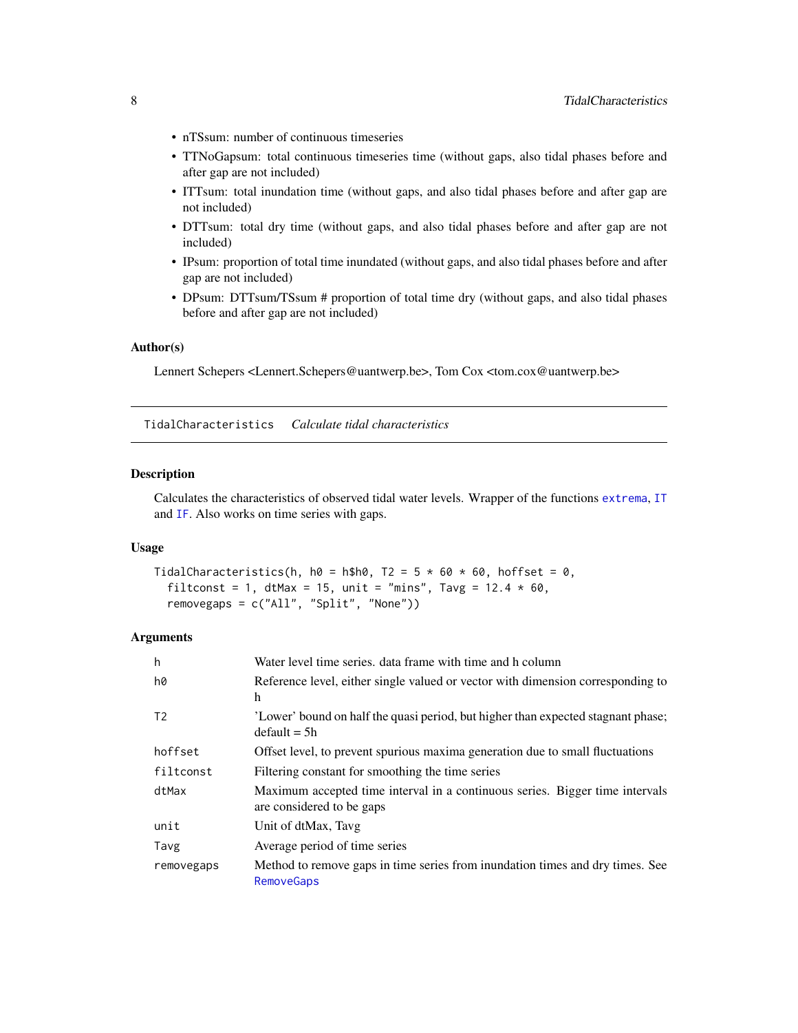- <span id="page-7-0"></span>• nTSsum: number of continuous timeseries
- TTNoGapsum: total continuous timeseries time (without gaps, also tidal phases before and after gap are not included)
- ITTsum: total inundation time (without gaps, and also tidal phases before and after gap are not included)
- DTTsum: total dry time (without gaps, and also tidal phases before and after gap are not included)
- IPsum: proportion of total time inundated (without gaps, and also tidal phases before and after gap are not included)
- DPsum: DTTsum/TSsum # proportion of total time dry (without gaps, and also tidal phases before and after gap are not included)

#### Author(s)

Lennert Schepers <Lennert.Schepers@uantwerp.be>, Tom Cox <tom.cox@uantwerp.be>

<span id="page-7-1"></span>TidalCharacteristics *Calculate tidal characteristics*

# Description

Calculates the characteristics of observed tidal water levels. Wrapper of the functions [extrema](#page-1-1), [IT](#page-3-1) and [IF](#page-3-2). Also works on time series with gaps.

#### Usage

```
TidalCharacteristics(h, h0 = h$h0, T2 = 5 * 60 * 60, hoffset = 0,
  filtconst = 1, dtMax = 15, unit = "mins", Tavg = 12.4 \times 60,
  removegaps = c("All", "Split", "None"))
```
# Arguments

| h              | Water level time series, data frame with time and h column                                                |
|----------------|-----------------------------------------------------------------------------------------------------------|
| h0             | Reference level, either single valued or vector with dimension corresponding to<br>h                      |
| T <sub>2</sub> | 'Lower' bound on half the quasi period, but higher than expected stagnant phase;<br>$default = 5h$        |
| hoffset        | Offset level, to prevent spurious maxima generation due to small fluctuations                             |
| filtconst      | Filtering constant for smoothing the time series                                                          |
| dtMax          | Maximum accepted time interval in a continuous series. Bigger time intervals<br>are considered to be gaps |
| unit           | Unit of dtMax, Tavg                                                                                       |
| Tavg           | Average period of time series                                                                             |
| removegaps     | Method to remove gaps in time series from inundation times and dry times. See<br><b>RemoveGaps</b>        |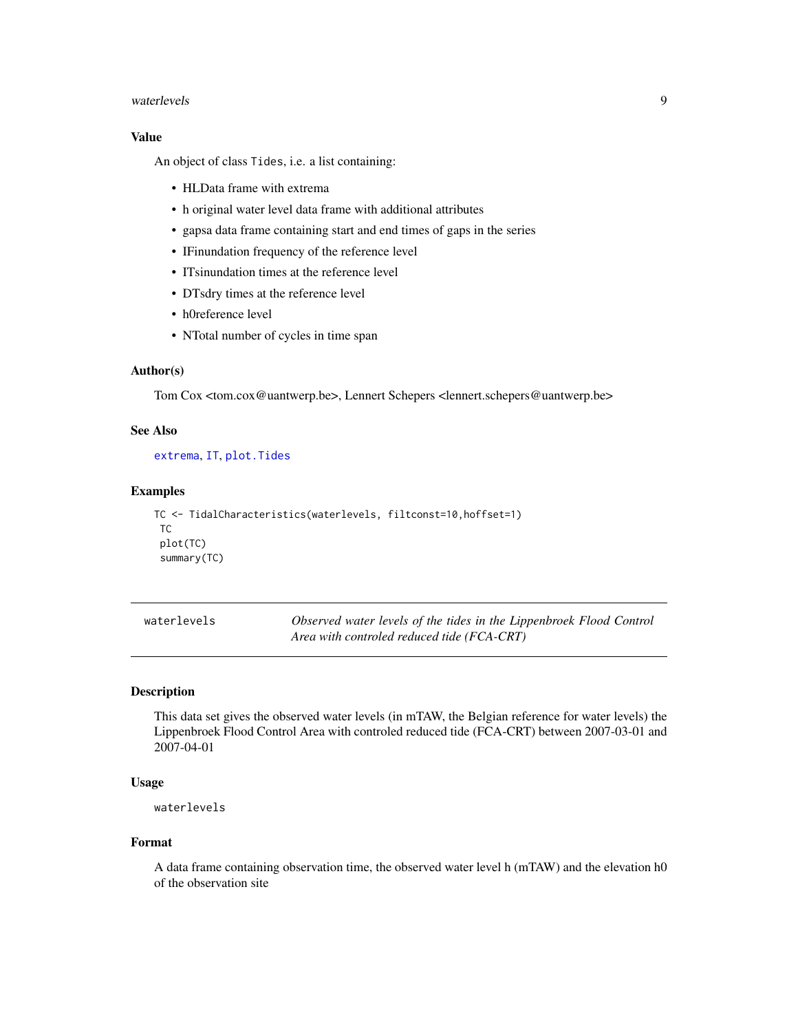#### <span id="page-8-0"></span>waterlevels **9**

# Value

An object of class Tides, i.e. a list containing:

- HLData frame with extrema
- h original water level data frame with additional attributes
- gapsa data frame containing start and end times of gaps in the series
- IFinundation frequency of the reference level
- ITsinundation times at the reference level
- DTsdry times at the reference level
- h0reference level
- NTotal number of cycles in time span

#### Author(s)

Tom Cox <tom.cox@uantwerp.be>, Lennert Schepers <lennert.schepers@uantwerp.be>

# See Also

[extrema](#page-1-1), [IT](#page-3-1), [plot.Tides](#page-4-1)

#### Examples

```
TC <- TidalCharacteristics(waterlevels, filtconst=10,hoffset=1)
TC
plot(TC)
summary(TC)
```

| waterlevels | Observed water levels of the tides in the Lippenbroek Flood Control |
|-------------|---------------------------------------------------------------------|
|             | Area with controled reduced tide (FCA-CRT)                          |

#### Description

This data set gives the observed water levels (in mTAW, the Belgian reference for water levels) the Lippenbroek Flood Control Area with controled reduced tide (FCA-CRT) between 2007-03-01 and 2007-04-01

# Usage

waterlevels

#### Format

A data frame containing observation time, the observed water level h (mTAW) and the elevation h0 of the observation site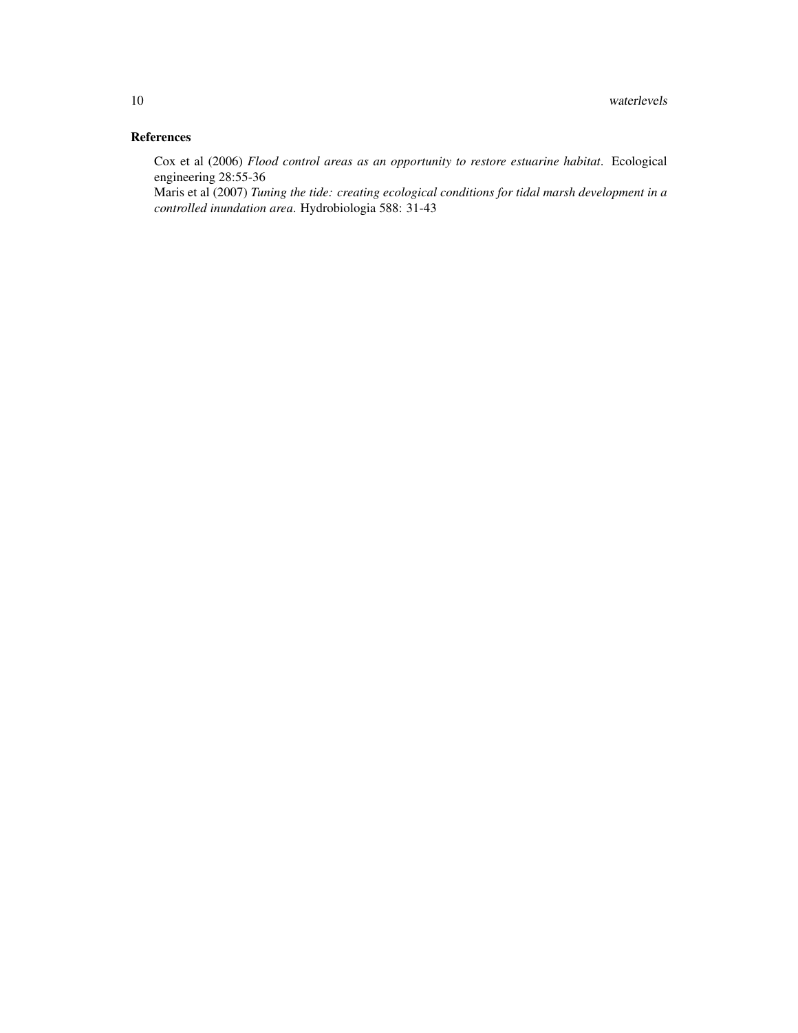# References

Cox et al (2006) *Flood control areas as an opportunity to restore estuarine habitat*. Ecological engineering 28:55-36

Maris et al (2007) *Tuning the tide: creating ecological conditions for tidal marsh development in a controlled inundation area*. Hydrobiologia 588: 31-43